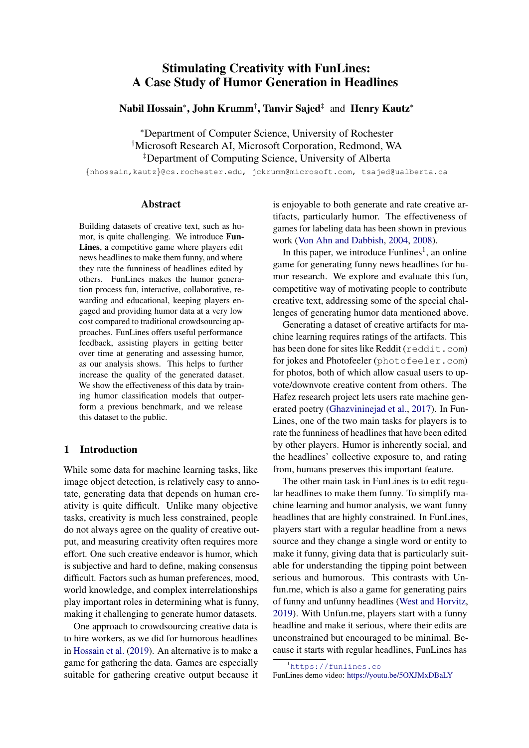# Stimulating Creativity with FunLines: A Case Study of Humor Generation in Headlines

Nabil Hossain\*, John Krumm<sup>†</sup>, Tanvir Sajed<sup>‡</sup> and Henry Kautz\*

<sup>∗</sup>Department of Computer Science, University of Rochester †Microsoft Research AI, Microsoft Corporation, Redmond, WA ‡Department of Computing Science, University of Alberta

{nhossain,kautz}@cs.rochester.edu, jckrumm@microsoft.com, tsajed@ualberta.ca

# Abstract

Building datasets of creative text, such as humor, is quite challenging. We introduce Fun-Lines, a competitive game where players edit news headlines to make them funny, and where they rate the funniness of headlines edited by others. FunLines makes the humor generation process fun, interactive, collaborative, rewarding and educational, keeping players engaged and providing humor data at a very low cost compared to traditional crowdsourcing approaches. FunLines offers useful performance feedback, assisting players in getting better over time at generating and assessing humor, as our analysis shows. This helps to further increase the quality of the generated dataset. We show the effectiveness of this data by training humor classification models that outperform a previous benchmark, and we release this dataset to the public.

# 1 Introduction

While some data for machine learning tasks, like image object detection, is relatively easy to annotate, generating data that depends on human creativity is quite difficult. Unlike many objective tasks, creativity is much less constrained, people do not always agree on the quality of creative output, and measuring creativity often requires more effort. One such creative endeavor is humor, which is subjective and hard to define, making consensus difficult. Factors such as human preferences, mood, world knowledge, and complex interrelationships play important roles in determining what is funny, making it challenging to generate humor datasets.

One approach to crowdsourcing creative data is to hire workers, as we did for humorous headlines in [Hossain et al.](#page-6-0) [\(2019\)](#page-6-0). An alternative is to make a game for gathering the data. Games are especially suitable for gathering creative output because it is enjoyable to both generate and rate creative artifacts, particularly humor. The effectiveness of games for labeling data has been shown in previous work [\(Von Ahn and Dabbish,](#page-6-1) [2004,](#page-6-1) [2008\)](#page-6-2).

In this paper, we introduce  $F$ unlines<sup>1</sup>, an online game for generating funny news headlines for humor research. We explore and evaluate this fun, competitive way of motivating people to contribute creative text, addressing some of the special challenges of generating humor data mentioned above.

Generating a dataset of creative artifacts for machine learning requires ratings of the artifacts. This has been done for sites like Reddit (reddit.com) for jokes and Photofeeler (photofeeler.com) for photos, both of which allow casual users to upvote/downvote creative content from others. The Hafez research project lets users rate machine generated poetry [\(Ghazvininejad et al.,](#page-6-3) [2017\)](#page-6-3). In Fun-Lines, one of the two main tasks for players is to rate the funniness of headlines that have been edited by other players. Humor is inherently social, and the headlines' collective exposure to, and rating from, humans preserves this important feature.

The other main task in FunLines is to edit regular headlines to make them funny. To simplify machine learning and humor analysis, we want funny headlines that are highly constrained. In FunLines, players start with a regular headline from a news source and they change a single word or entity to make it funny, giving data that is particularly suitable for understanding the tipping point between serious and humorous. This contrasts with Unfun.me, which is also a game for generating pairs of funny and unfunny headlines [\(West and Horvitz,](#page-6-4) [2019\)](#page-6-4). With Unfun.me, players start with a funny headline and make it serious, where their edits are unconstrained but encouraged to be minimal. Because it starts with regular headlines, FunLines has

FunLines demo video: <https://youtu.be/5OXJMxDBaLY>

<sup>1</sup><https://funlines.co>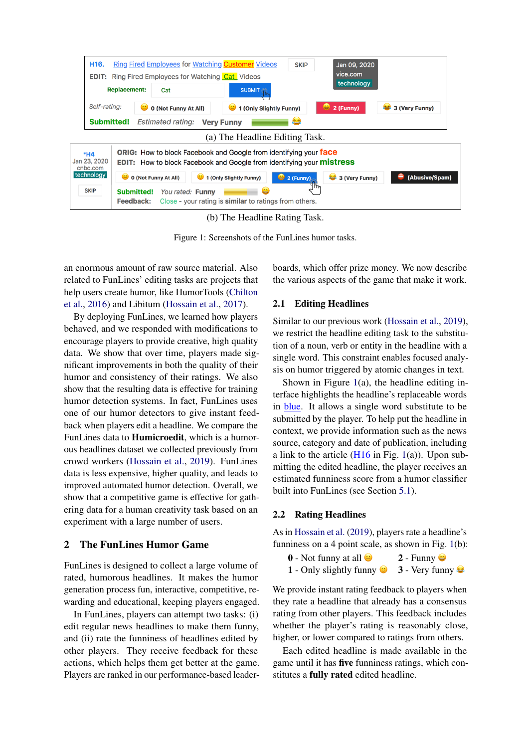<span id="page-1-0"></span>

(b) The Headline Rating Task.

Figure 1: Screenshots of the FunLines humor tasks.

an enormous amount of raw source material. Also related to FunLines' editing tasks are projects that help users create humor, like HumorTools [\(Chilton](#page-6-5) [et al.,](#page-6-5) [2016\)](#page-6-5) and Libitum [\(Hossain et al.,](#page-6-6) [2017\)](#page-6-6).

By deploying FunLines, we learned how players behaved, and we responded with modifications to encourage players to provide creative, high quality data. We show that over time, players made significant improvements in both the quality of their humor and consistency of their ratings. We also show that the resulting data is effective for training humor detection systems. In fact, FunLines uses one of our humor detectors to give instant feedback when players edit a headline. We compare the FunLines data to Humicroedit, which is a humorous headlines dataset we collected previously from crowd workers [\(Hossain et al.,](#page-6-0) [2019\)](#page-6-0). FunLines data is less expensive, higher quality, and leads to improved automated humor detection. Overall, we show that a competitive game is effective for gathering data for a human creativity task based on an experiment with a large number of users.

# 2 The FunLines Humor Game

FunLines is designed to collect a large volume of rated, humorous headlines. It makes the humor generation process fun, interactive, competitive, rewarding and educational, keeping players engaged.

In FunLines, players can attempt two tasks: (i) edit regular news headlines to make them funny, and (ii) rate the funniness of headlines edited by other players. They receive feedback for these actions, which helps them get better at the game. Players are ranked in our performance-based leaderboards, which offer prize money. We now describe the various aspects of the game that make it work.

#### 2.1 Editing Headlines

Similar to our previous work [\(Hossain et al.,](#page-6-0) [2019\)](#page-6-0), we restrict the headline editing task to the substitution of a noun, verb or entity in the headline with a single word. This constraint enables focused analysis on humor triggered by atomic changes in text.

Shown in Figure [1\(](#page-1-0)a), the headline editing interface highlights the headline's replaceable words in blue. It allows a single word substitute to be submitted by the player. To help put the headline in context, we provide information such as the news source, category and date of publication, including a link to the article  $(H16$  in Fig. [1\(](#page-1-0)a)). Upon submitting the edited headline, the player receives an estimated funniness score from a humor classifier built into FunLines (see Section [5.1\)](#page-4-0).

## 2.2 Rating Headlines

As in [Hossain et al.](#page-6-0) [\(2019\)](#page-6-0), players rate a headline's funniness on a 4 point scale, as shown in Fig. [1\(](#page-1-0)b):

- $\overline{0}$  Not funny at all  $\overline{2}$  Funny  $\overline{3}$ 1 - Only slightly funny  $\bullet$  3 - Very funny  $\bullet$
- 

We provide instant rating feedback to players when they rate a headline that already has a consensus rating from other players. This feedback includes whether the player's rating is reasonably close, higher, or lower compared to ratings from others.

Each edited headline is made available in the game until it has five funniness ratings, which constitutes a fully rated edited headline.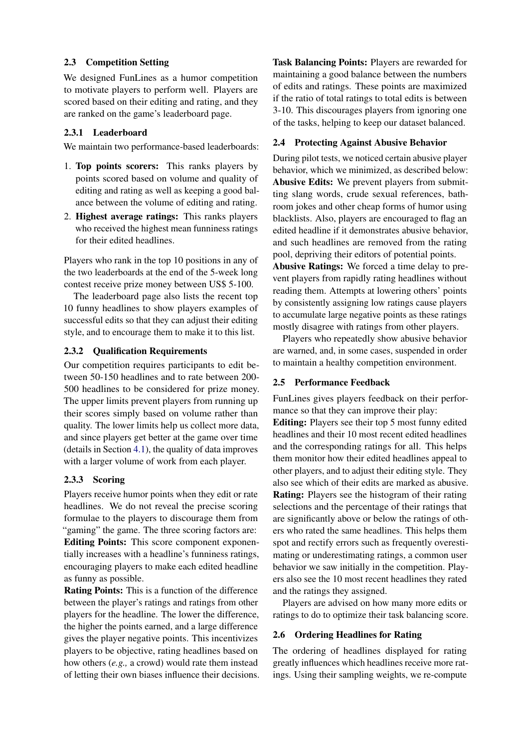# 2.3 Competition Setting

We designed FunLines as a humor competition to motivate players to perform well. Players are scored based on their editing and rating, and they are ranked on the game's leaderboard page.

# 2.3.1 Leaderboard

We maintain two performance-based leaderboards:

- 1. Top points scorers: This ranks players by points scored based on volume and quality of editing and rating as well as keeping a good balance between the volume of editing and rating.
- 2. Highest average ratings: This ranks players who received the highest mean funniness ratings for their edited headlines.

Players who rank in the top 10 positions in any of the two leaderboards at the end of the 5-week long contest receive prize money between US\$ 5-100.

The leaderboard page also lists the recent top 10 funny headlines to show players examples of successful edits so that they can adjust their editing style, and to encourage them to make it to this list.

# 2.3.2 Qualification Requirements

Our competition requires participants to edit between 50-150 headlines and to rate between 200- 500 headlines to be considered for prize money. The upper limits prevent players from running up their scores simply based on volume rather than quality. The lower limits help us collect more data, and since players get better at the game over time (details in Section [4.1\)](#page-4-1), the quality of data improves with a larger volume of work from each player.

## 2.3.3 Scoring

Players receive humor points when they edit or rate headlines. We do not reveal the precise scoring formulae to the players to discourage them from "gaming" the game. The three scoring factors are: Editing Points: This score component exponentially increases with a headline's funniness ratings, encouraging players to make each edited headline as funny as possible.

Rating Points: This is a function of the difference between the player's ratings and ratings from other players for the headline. The lower the difference, the higher the points earned, and a large difference gives the player negative points. This incentivizes players to be objective, rating headlines based on how others (*e.g.,* a crowd) would rate them instead of letting their own biases influence their decisions. Task Balancing Points: Players are rewarded for maintaining a good balance between the numbers of edits and ratings. These points are maximized if the ratio of total ratings to total edits is between 3-10. This discourages players from ignoring one of the tasks, helping to keep our dataset balanced.

# 2.4 Protecting Against Abusive Behavior

During pilot tests, we noticed certain abusive player behavior, which we minimized, as described below: Abusive Edits: We prevent players from submitting slang words, crude sexual references, bathroom jokes and other cheap forms of humor using blacklists. Also, players are encouraged to flag an edited headline if it demonstrates abusive behavior, and such headlines are removed from the rating pool, depriving their editors of potential points.

Abusive Ratings: We forced a time delay to prevent players from rapidly rating headlines without reading them. Attempts at lowering others' points by consistently assigning low ratings cause players to accumulate large negative points as these ratings mostly disagree with ratings from other players.

Players who repeatedly show abusive behavior are warned, and, in some cases, suspended in order to maintain a healthy competition environment.

## 2.5 Performance Feedback

FunLines gives players feedback on their performance so that they can improve their play:

Editing: Players see their top 5 most funny edited headlines and their 10 most recent edited headlines and the corresponding ratings for all. This helps them monitor how their edited headlines appeal to other players, and to adjust their editing style. They also see which of their edits are marked as abusive. Rating: Players see the histogram of their rating selections and the percentage of their ratings that are significantly above or below the ratings of others who rated the same headlines. This helps them spot and rectify errors such as frequently overestimating or underestimating ratings, a common user behavior we saw initially in the competition. Players also see the 10 most recent headlines they rated and the ratings they assigned.

Players are advised on how many more edits or ratings to do to optimize their task balancing score.

## 2.6 Ordering Headlines for Rating

The ordering of headlines displayed for rating greatly influences which headlines receive more ratings. Using their sampling weights, we re-compute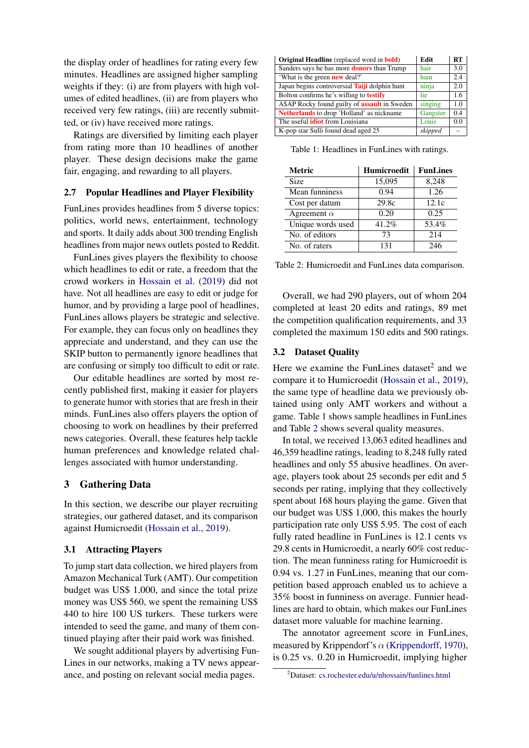the display order of headlines for rating every few minutes. Headlines are assigned higher sampling weights if they: (i) are from players with high volumes of edited headlines, (ii) are from players who received very few ratings, (iii) are recently submitted, or (iv) have received more ratings.

Ratings are diversified by limiting each player from rating more than 10 headlines of another player. These design decisions make the game fair, engaging, and rewarding to all players.

#### 2.7 Popular Headlines and Player Flexibility

FunLines provides headlines from 5 diverse topics: politics, world news, entertainment, technology and sports. It daily adds about 300 trending English headlines from major news outlets posted to Reddit.

FunLines gives players the flexibility to choose which headlines to edit or rate, a freedom that the crowd workers in [Hossain et al.](#page-6-0) [\(2019\)](#page-6-0) did not have. Not all headlines are easy to edit or judge for humor, and by providing a large pool of headlines, FunLines allows players be strategic and selective. For example, they can focus only on headlines they appreciate and understand, and they can use the SKIP button to permanently ignore headlines that are confusing or simply too difficult to edit or rate.

Our editable headlines are sorted by most recently published first, making it easier for players to generate humor with stories that are fresh in their minds. FunLines also offers players the option of choosing to work on headlines by their preferred news categories. Overall, these features help tackle human preferences and knowledge related challenges associated with humor understanding.

## 3 Gathering Data

In this section, we describe our player recruiting strategies, our gathered dataset, and its comparison against Humicroedit [\(Hossain et al.,](#page-6-0) [2019\)](#page-6-0).

# 3.1 Attracting Players

To jump start data collection, we hired players from Amazon Mechanical Turk (AMT). Our competition budget was US\$ 1,000, and since the total prize money was US\$ 560, we spent the remaining US\$ 440 to hire 100 US turkers. These turkers were intended to seed the game, and many of them continued playing after their paid work was finished.

We sought additional players by advertising Fun-Lines in our networks, making a TV news appearance, and posting on relevant social media pages.

<span id="page-3-0"></span>

| <b>Original Headline</b> (replaced word in <b>bold</b> ) | Edit     | RT  |
|----------------------------------------------------------|----------|-----|
| Sanders says he has more <b>donors</b> than Trump        | hair     | 3.0 |
| 'What is the green <b>new</b> deal?'                     | ham      | 2.4 |
| Japan begins controversial Taiji dolphin hunt            | ninja    | 2.0 |
| Bolton confirms he's willing to <b>testify</b>           | lie      | 1.6 |
| A\$AP Rocky found guilty of <b>assault</b> in Sweden     | singing  | 1.0 |
| Netherlands to drop 'Holland' as nickname                | Gangster | 0.4 |
| The useful <b>idiot</b> from Louisiana                   | Louis    | 0.0 |
| K-pop star Sulli found dead aged 25                      | skipped  |     |

Table 1: Headlines in FunLines with ratings.

<span id="page-3-1"></span>

| <b>Metric</b>      | <b>Humicroedit</b> | <b>FunLines</b> |
|--------------------|--------------------|-----------------|
| Size               | 15,095             | 8,248           |
| Mean funniness     | 0.94               | 1.26            |
| Cost per datum     | 29.8c              | 12.1c           |
| Agreement $\alpha$ | 0.20               | 0.25            |
| Unique words used  | 41.2%              | 53.4%           |
| No. of editors     | 73                 | 214             |
| No. of raters      | 131                | 246             |

Table 2: Humicroedit and FunLines data comparison.

Overall, we had 290 players, out of whom 204 completed at least 20 edits and ratings, 89 met the competition qualification requirements, and 33 completed the maximum 150 edits and 500 ratings.

#### 3.2 Dataset Quality

Here we examine the FunLines dataset $<sup>2</sup>$  and we</sup> compare it to Humicroedit [\(Hossain et al.,](#page-6-0) [2019\)](#page-6-0), the same type of headline data we previously obtained using only AMT workers and without a game. Table [1](#page-3-0) shows sample headlines in FunLines and Table [2](#page-3-1) shows several quality measures.

In total, we received 13,063 edited headlines and 46,359 headline ratings, leading to 8,248 fully rated headlines and only 55 abusive headlines. On average, players took about 25 seconds per edit and 5 seconds per rating, implying that they collectively spent about 168 hours playing the game. Given that our budget was US\$ 1,000, this makes the hourly participation rate only US\$ 5.95. The cost of each fully rated headline in FunLines is 12.1 cents vs 29.8 cents in Humicroedit, a nearly 60% cost reduction. The mean funniness rating for Humicroedit is 0.94 vs. 1.27 in FunLines, meaning that our competition based approach enabled us to achieve a 35% boost in funniness on average. Funnier headlines are hard to obtain, which makes our FunLines dataset more valuable for machine learning.

The annotator agreement score in FunLines, measured by Krippendorf's  $\alpha$  [\(Krippendorff,](#page-6-7) [1970\)](#page-6-7), is 0.25 vs. 0.20 in Humicroedit, implying higher

<sup>2</sup>Dataset: [cs.rochester.edu/u/nhossain/funlines.html](www.cs.rochester.edu/u/nhossain/funlines.html)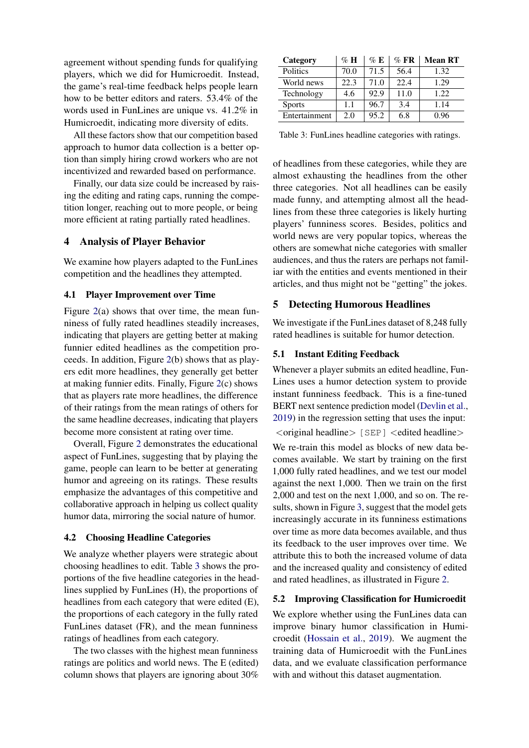agreement without spending funds for qualifying players, which we did for Humicroedit. Instead, the game's real-time feedback helps people learn how to be better editors and raters. 53.4% of the words used in FunLines are unique vs. 41.2% in Humicroedit, indicating more diversity of edits.

All these factors show that our competition based approach to humor data collection is a better option than simply hiring crowd workers who are not incentivized and rewarded based on performance.

Finally, our data size could be increased by raising the editing and rating caps, running the competition longer, reaching out to more people, or being more efficient at rating partially rated headlines.

# 4 Analysis of Player Behavior

We examine how players adapted to the FunLines competition and the headlines they attempted.

# <span id="page-4-1"></span>4.1 Player Improvement over Time

Figure [2\(](#page-5-0)a) shows that over time, the mean funniness of fully rated headlines steadily increases, indicating that players are getting better at making funnier edited headlines as the competition proceeds. In addition, Figure [2\(](#page-5-0)b) shows that as players edit more headlines, they generally get better at making funnier edits. Finally, Figure [2\(](#page-5-0)c) shows that as players rate more headlines, the difference of their ratings from the mean ratings of others for the same headline decreases, indicating that players become more consistent at rating over time.

Overall, Figure [2](#page-5-0) demonstrates the educational aspect of FunLines, suggesting that by playing the game, people can learn to be better at generating humor and agreeing on its ratings. These results emphasize the advantages of this competitive and collaborative approach in helping us collect quality humor data, mirroring the social nature of humor.

#### 4.2 Choosing Headline Categories

We analyze whether players were strategic about choosing headlines to edit. Table [3](#page-4-2) shows the proportions of the five headline categories in the headlines supplied by FunLines (H), the proportions of headlines from each category that were edited (E), the proportions of each category in the fully rated FunLines dataset (FR), and the mean funniness ratings of headlines from each category.

The two classes with the highest mean funniness ratings are politics and world news. The E (edited) column shows that players are ignoring about 30%

<span id="page-4-2"></span>

| Category      | $\%$ H | $\%$ E | $\%$ FR | <b>Mean RT</b> |
|---------------|--------|--------|---------|----------------|
| Politics      | 70.0   | 71.5   | 56.4    | 1.32           |
| World news    | 22.3   | 71.0   | 22.4    | 1.29           |
| Technology    | 4.6    | 92.9   | 11.0    | 1.22           |
| <b>Sports</b> | 1.1    | 96.7   | 3.4     | 1.14           |
| Entertainment | 2.0    | 95.2   | 6.8     | 0.96           |

Table 3: FunLines headline categories with ratings.

of headlines from these categories, while they are almost exhausting the headlines from the other three categories. Not all headlines can be easily made funny, and attempting almost all the headlines from these three categories is likely hurting players' funniness scores. Besides, politics and world news are very popular topics, whereas the others are somewhat niche categories with smaller audiences, and thus the raters are perhaps not familiar with the entities and events mentioned in their articles, and thus might not be "getting" the jokes.

#### 5 Detecting Humorous Headlines

We investigate if the FunLines dataset of 8,248 fully rated headlines is suitable for humor detection.

## <span id="page-4-0"></span>5.1 Instant Editing Feedback

Whenever a player submits an edited headline, Fun-Lines uses a humor detection system to provide instant funniness feedback. This is a fine-tuned BERT next sentence prediction model [\(Devlin et al.,](#page-6-8) [2019\)](#page-6-8) in the regression setting that uses the input:  $\langle$ original headline $\rangle$  [SEP]  $\langle$  edited headline $\rangle$ 

We re-train this model as blocks of new data becomes available. We start by training on the first 1,000 fully rated headlines, and we test our model against the next 1,000. Then we train on the first 2,000 and test on the next 1,000, and so on. The results, shown in Figure [3,](#page-5-1) suggest that the model gets increasingly accurate in its funniness estimations over time as more data becomes available, and thus its feedback to the user improves over time. We attribute this to both the increased volume of data and the increased quality and consistency of edited and rated headlines, as illustrated in Figure [2.](#page-5-0)

# 5.2 Improving Classification for Humicroedit

We explore whether using the FunLines data can improve binary humor classification in Humicroedit [\(Hossain et al.,](#page-6-0) [2019\)](#page-6-0). We augment the training data of Humicroedit with the FunLines data, and we evaluate classification performance with and without this dataset augmentation.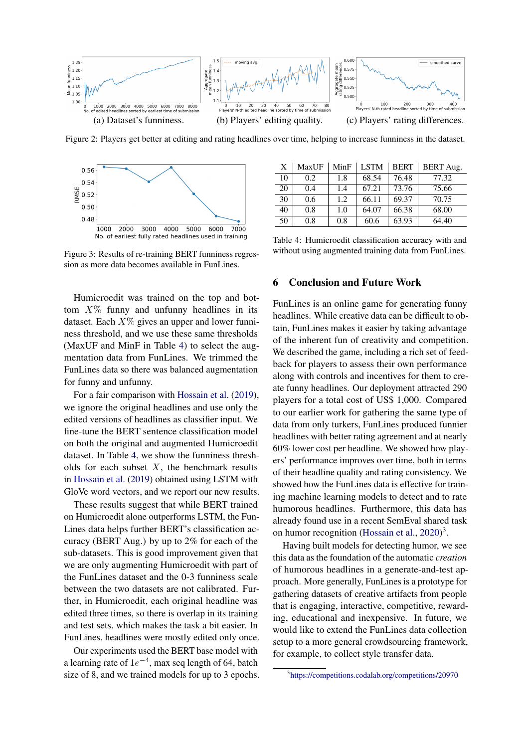<span id="page-5-0"></span>

Figure 2: Players get better at editing and rating headlines over time, helping to increase funniness in the dataset.

<span id="page-5-1"></span>

Figure 3: Results of re-training BERT funniness regression as more data becomes available in FunLines.

Humicroedit was trained on the top and bottom  $X\%$  funny and unfunny headlines in its dataset. Each  $X\%$  gives an upper and lower funniness threshold, and we use these same thresholds (MaxUF and MinF in Table [4\)](#page-5-2) to select the augmentation data from FunLines. We trimmed the FunLines data so there was balanced augmentation for funny and unfunny.

For a fair comparison with [Hossain et al.](#page-6-0) [\(2019\)](#page-6-0), we ignore the original headlines and use only the edited versions of headlines as classifier input. We fine-tune the BERT sentence classification model on both the original and augmented Humicroedit dataset. In Table [4,](#page-5-2) we show the funniness thresholds for each subset  $X$ , the benchmark results in [Hossain et al.](#page-6-0) [\(2019\)](#page-6-0) obtained using LSTM with GloVe word vectors, and we report our new results.

These results suggest that while BERT trained on Humicroedit alone outperforms LSTM, the Fun-Lines data helps further BERT's classification accuracy (BERT Aug.) by up to 2% for each of the sub-datasets. This is good improvement given that we are only augmenting Humicroedit with part of the FunLines dataset and the 0-3 funniness scale between the two datasets are not calibrated. Further, in Humicroedit, each original headline was edited three times, so there is overlap in its training and test sets, which makes the task a bit easier. In FunLines, headlines were mostly edited only once.

Our experiments used the BERT base model with a learning rate of  $1e^{-4}$ , max seq length of 64, batch size of 8, and we trained models for up to 3 epochs.

<span id="page-5-2"></span>

| $\mathbf{X}$ | MaxUF | MinF | <b>LSTM</b> | <b>BERT</b> | <b>BERT</b> Aug. |
|--------------|-------|------|-------------|-------------|------------------|
| 10           | 0.2   | 1.8  | 68.54       | 76.48       | 77.32            |
| 20           | 0.4   | 1.4  | 67.21       | 73.76       | 75.66            |
| 30           | 0.6   | 1.2  | 66.11       | 69.37       | 70.75            |
| 40           | 0.8   | 1.0  | 64.07       | 66.38       | 68.00            |
| 50           | 0.8   | 0.8  | 60.6        | 63.93       | 64.40            |

Table 4: Humicroedit classification accuracy with and without using augmented training data from FunLines.

## 6 Conclusion and Future Work

FunLines is an online game for generating funny headlines. While creative data can be difficult to obtain, FunLines makes it easier by taking advantage of the inherent fun of creativity and competition. We described the game, including a rich set of feedback for players to assess their own performance along with controls and incentives for them to create funny headlines. Our deployment attracted 290 players for a total cost of US\$ 1,000. Compared to our earlier work for gathering the same type of data from only turkers, FunLines produced funnier headlines with better rating agreement and at nearly 60% lower cost per headline. We showed how players' performance improves over time, both in terms of their headline quality and rating consistency. We showed how the FunLines data is effective for training machine learning models to detect and to rate humorous headlines. Furthermore, this data has already found use in a recent SemEval shared task on humor recognition [\(Hossain et al.,](#page-6-9) [2020\)](#page-6-9)<sup>3</sup>.

Having built models for detecting humor, we see this data as the foundation of the automatic *creation* of humorous headlines in a generate-and-test approach. More generally, FunLines is a prototype for gathering datasets of creative artifacts from people that is engaging, interactive, competitive, rewarding, educational and inexpensive. In future, we would like to extend the FunLines data collection setup to a more general crowdsourcing framework, for example, to collect style transfer data.

<sup>3</sup> <https://competitions.codalab.org/competitions/20970>